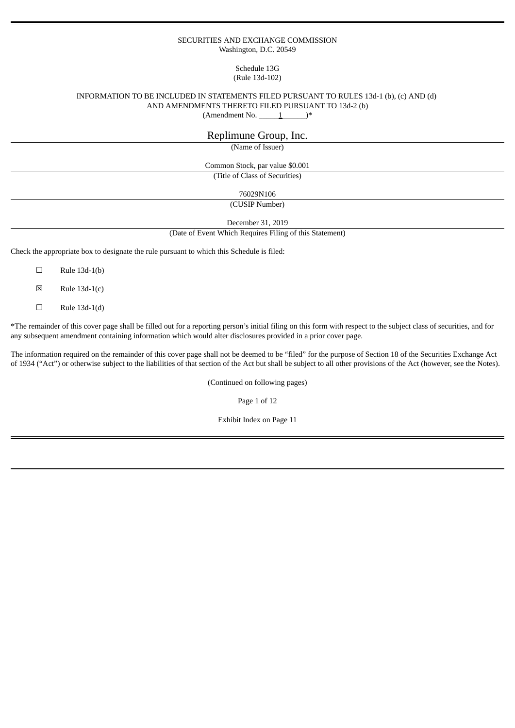#### SECURITIES AND EXCHANGE COMMISSION Washington, D.C. 20549

## Schedule 13G (Rule 13d-102)

### INFORMATION TO BE INCLUDED IN STATEMENTS FILED PURSUANT TO RULES 13d-1 (b), (c) AND (d) AND AMENDMENTS THERETO FILED PURSUANT TO 13d-2 (b)  $(Amendment No. \_ 1)$ <sup>\*</sup>

# Replimune Group, Inc.

(Name of Issuer)

Common Stock, par value \$0.001 (Title of Class of Securities)

76029N106

(CUSIP Number)

December 31, 2019

(Date of Event Which Requires Filing of this Statement)

Check the appropriate box to designate the rule pursuant to which this Schedule is filed:

- $\square$  Rule 13d-1(b)
- $\boxtimes$  Rule 13d-1(c)
- $\Box$  Rule 13d-1(d)

\*The remainder of this cover page shall be filled out for a reporting person's initial filing on this form with respect to the subject class of securities, and for any subsequent amendment containing information which would alter disclosures provided in a prior cover page.

The information required on the remainder of this cover page shall not be deemed to be "filed" for the purpose of Section 18 of the Securities Exchange Act of 1934 ("Act") or otherwise subject to the liabilities of that section of the Act but shall be subject to all other provisions of the Act (however, see the Notes).

(Continued on following pages)

Page 1 of 12

Exhibit Index on Page 11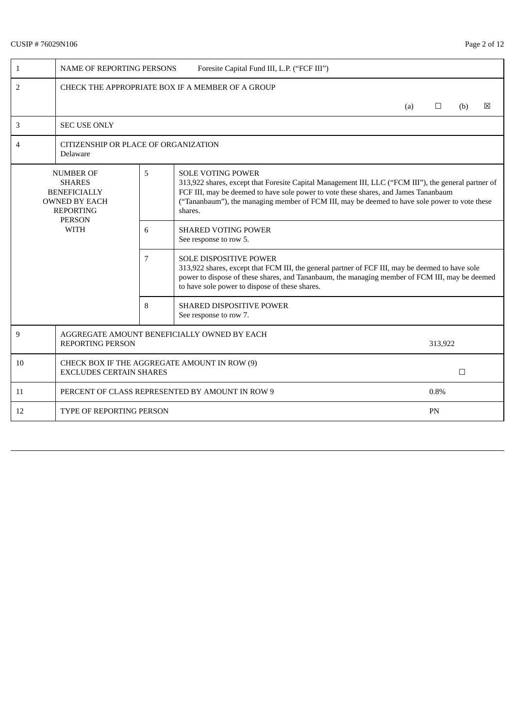# CUSIP # 76029N106 Page 2 of 12

| $\mathbf{1}$                                                                                                                                                          | <b>NAME OF REPORTING PERSONS</b>                                               |  | Foresite Capital Fund III, L.P. ("FCF III")                                                                                                                                                                                                                                                                                         |     |         |        |   |  |  |
|-----------------------------------------------------------------------------------------------------------------------------------------------------------------------|--------------------------------------------------------------------------------|--|-------------------------------------------------------------------------------------------------------------------------------------------------------------------------------------------------------------------------------------------------------------------------------------------------------------------------------------|-----|---------|--------|---|--|--|
| 2                                                                                                                                                                     | CHECK THE APPROPRIATE BOX IF A MEMBER OF A GROUP                               |  |                                                                                                                                                                                                                                                                                                                                     |     |         |        |   |  |  |
|                                                                                                                                                                       |                                                                                |  |                                                                                                                                                                                                                                                                                                                                     | (a) | $\Box$  | (b)    | ⊠ |  |  |
| 3                                                                                                                                                                     | <b>SEC USE ONLY</b>                                                            |  |                                                                                                                                                                                                                                                                                                                                     |     |         |        |   |  |  |
| 4                                                                                                                                                                     | CITIZENSHIP OR PLACE OF ORGANIZATION<br>Delaware                               |  |                                                                                                                                                                                                                                                                                                                                     |     |         |        |   |  |  |
| 5<br><b>NUMBER OF</b><br><b>SHARES</b><br><b>BENEFICIALLY</b><br><b>OWNED BY EACH</b><br><b>REPORTING</b><br><b>PERSON</b><br><b>WITH</b><br>6<br>$\overline{7}$<br>8 |                                                                                |  | <b>SOLE VOTING POWER</b><br>313,922 shares, except that Foresite Capital Management III, LLC ("FCM III"), the general partner of<br>FCF III, may be deemed to have sole power to vote these shares, and James Tananbaum<br>("Tananbaum"), the managing member of FCM III, may be deemed to have sole power to vote these<br>shares. |     |         |        |   |  |  |
|                                                                                                                                                                       |                                                                                |  | <b>SHARED VOTING POWER</b><br>See response to row 5.                                                                                                                                                                                                                                                                                |     |         |        |   |  |  |
|                                                                                                                                                                       |                                                                                |  | <b>SOLE DISPOSITIVE POWER</b><br>313,922 shares, except that FCM III, the general partner of FCF III, may be deemed to have sole<br>power to dispose of these shares, and Tananbaum, the managing member of FCM III, may be deemed<br>to have sole power to dispose of these shares.                                                |     |         |        |   |  |  |
|                                                                                                                                                                       |                                                                                |  | <b>SHARED DISPOSITIVE POWER</b><br>See response to row 7.                                                                                                                                                                                                                                                                           |     |         |        |   |  |  |
| 9                                                                                                                                                                     | AGGREGATE AMOUNT BENEFICIALLY OWNED BY EACH<br><b>REPORTING PERSON</b>         |  |                                                                                                                                                                                                                                                                                                                                     |     | 313,922 |        |   |  |  |
| 10                                                                                                                                                                    | CHECK BOX IF THE AGGREGATE AMOUNT IN ROW (9)<br><b>EXCLUDES CERTAIN SHARES</b> |  |                                                                                                                                                                                                                                                                                                                                     |     |         | $\Box$ |   |  |  |
| 11                                                                                                                                                                    | PERCENT OF CLASS REPRESENTED BY AMOUNT IN ROW 9                                |  |                                                                                                                                                                                                                                                                                                                                     |     | 0.8%    |        |   |  |  |
| 12                                                                                                                                                                    | <b>TYPE OF REPORTING PERSON</b>                                                |  |                                                                                                                                                                                                                                                                                                                                     | PN  |         |        |   |  |  |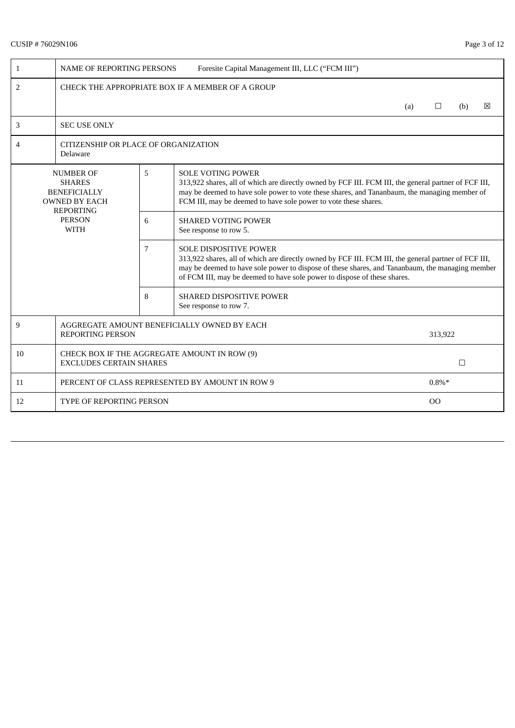# CUSIP # 76029N106 Page 3 of 12

| 1                                                                                     | Foresite Capital Management III, LLC ("FCM III")<br><b>NAME OF REPORTING PERSONS</b> |  |                                                                                                                                                                                                                                                                                                                      |  |  |        |  |  |  |  |
|---------------------------------------------------------------------------------------|--------------------------------------------------------------------------------------|--|----------------------------------------------------------------------------------------------------------------------------------------------------------------------------------------------------------------------------------------------------------------------------------------------------------------------|--|--|--------|--|--|--|--|
| 2                                                                                     | CHECK THE APPROPRIATE BOX IF A MEMBER OF A GROUP                                     |  |                                                                                                                                                                                                                                                                                                                      |  |  |        |  |  |  |  |
|                                                                                       | ⊠<br>(a)<br>$\Box$<br>(b)                                                            |  |                                                                                                                                                                                                                                                                                                                      |  |  |        |  |  |  |  |
| 3                                                                                     | <b>SEC USE ONLY</b>                                                                  |  |                                                                                                                                                                                                                                                                                                                      |  |  |        |  |  |  |  |
| 4                                                                                     | CITIZENSHIP OR PLACE OF ORGANIZATION<br>Delaware                                     |  |                                                                                                                                                                                                                                                                                                                      |  |  |        |  |  |  |  |
| 5<br><b>NUMBER OF</b><br><b>SHARES</b><br><b>BENEFICIALLY</b><br><b>OWNED BY EACH</b> |                                                                                      |  | <b>SOLE VOTING POWER</b><br>313,922 shares, all of which are directly owned by FCF III. FCM III, the general partner of FCF III,<br>may be deemed to have sole power to vote these shares, and Tananbaum, the managing member of<br>FCM III, may be deemed to have sole power to vote these shares.                  |  |  |        |  |  |  |  |
|                                                                                       | <b>REPORTING</b><br><b>PERSON</b><br><b>WITH</b>                                     |  | <b>SHARED VOTING POWER</b><br>See response to row 5.                                                                                                                                                                                                                                                                 |  |  |        |  |  |  |  |
| 7<br>8                                                                                |                                                                                      |  | <b>SOLE DISPOSITIVE POWER</b><br>313,922 shares, all of which are directly owned by FCF III. FCM III, the general partner of FCF III,<br>may be deemed to have sole power to dispose of these shares, and Tananbaum, the managing member<br>of FCM III, may be deemed to have sole power to dispose of these shares. |  |  |        |  |  |  |  |
|                                                                                       |                                                                                      |  | <b>SHARED DISPOSITIVE POWER</b><br>See response to row 7.                                                                                                                                                                                                                                                            |  |  |        |  |  |  |  |
| 9                                                                                     | AGGREGATE AMOUNT BENEFICIALLY OWNED BY EACH<br><b>REPORTING PERSON</b><br>313,922    |  |                                                                                                                                                                                                                                                                                                                      |  |  |        |  |  |  |  |
| 10                                                                                    | CHECK BOX IF THE AGGREGATE AMOUNT IN ROW (9)<br><b>EXCLUDES CERTAIN SHARES</b>       |  |                                                                                                                                                                                                                                                                                                                      |  |  | $\Box$ |  |  |  |  |
| 11                                                                                    | PERCENT OF CLASS REPRESENTED BY AMOUNT IN ROW 9<br>$0.8\%*$                          |  |                                                                                                                                                                                                                                                                                                                      |  |  |        |  |  |  |  |
| 12                                                                                    | <b>TYPE OF REPORTING PERSON</b><br>00                                                |  |                                                                                                                                                                                                                                                                                                                      |  |  |        |  |  |  |  |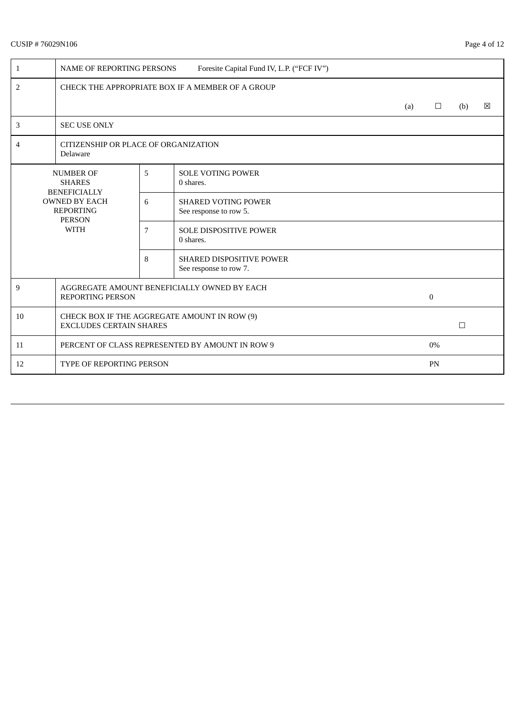# CUSIP # 76029N106 Page 4 of 12

| 1                                                                        | <b>NAME OF REPORTING PERSONS</b><br>Foresite Capital Fund IV, L.P. ("FCF IV")  |   |                                                           |  |                |        |   |  |  |
|--------------------------------------------------------------------------|--------------------------------------------------------------------------------|---|-----------------------------------------------------------|--|----------------|--------|---|--|--|
| 2                                                                        | CHECK THE APPROPRIATE BOX IF A MEMBER OF A GROUP                               |   |                                                           |  |                |        |   |  |  |
|                                                                          | (a)                                                                            |   |                                                           |  |                |        | 冈 |  |  |
| 3                                                                        | <b>SEC USE ONLY</b>                                                            |   |                                                           |  |                |        |   |  |  |
| 4                                                                        | CITIZENSHIP OR PLACE OF ORGANIZATION<br>Delaware                               |   |                                                           |  |                |        |   |  |  |
|                                                                          | <b>NUMBER OF</b><br><b>SHARES</b><br><b>BENEFICIALLY</b>                       | 5 | <b>SOLE VOTING POWER</b><br>0 shares.                     |  |                |        |   |  |  |
| <b>OWNED BY EACH</b><br><b>REPORTING</b><br><b>PERSON</b><br><b>WITH</b> |                                                                                | 6 | <b>SHARED VOTING POWER</b><br>See response to row 5.      |  |                |        |   |  |  |
|                                                                          |                                                                                | 7 | <b>SOLE DISPOSITIVE POWER</b><br>0 shares.                |  |                |        |   |  |  |
|                                                                          |                                                                                | 8 | <b>SHARED DISPOSITIVE POWER</b><br>See response to row 7. |  |                |        |   |  |  |
| 9                                                                        | AGGREGATE AMOUNT BENEFICIALLY OWNED BY EACH<br><b>REPORTING PERSON</b>         |   |                                                           |  | $\overline{0}$ |        |   |  |  |
| 10                                                                       | CHECK BOX IF THE AGGREGATE AMOUNT IN ROW (9)<br><b>EXCLUDES CERTAIN SHARES</b> |   |                                                           |  |                | $\Box$ |   |  |  |
| 11                                                                       | PERCENT OF CLASS REPRESENTED BY AMOUNT IN ROW 9                                |   |                                                           |  | $0\%$          |        |   |  |  |
| 12                                                                       | <b>TYPE OF REPORTING PERSON</b>                                                |   |                                                           |  |                | PN     |   |  |  |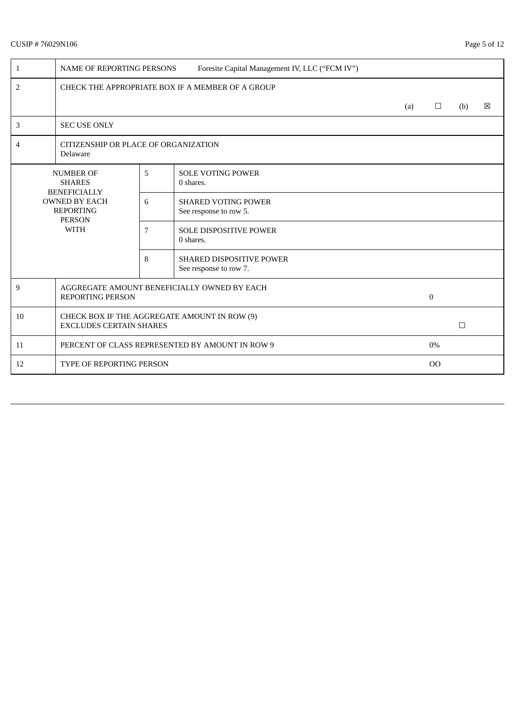# CUSIP # 76029N106 Page 5 of 12

| 1                                                                                                                     | <b>NAME OF REPORTING PERSONS</b><br>Foresite Capital Management IV, LLC ("FCM IV") |   |                                                           |  |              |     |   |  |
|-----------------------------------------------------------------------------------------------------------------------|------------------------------------------------------------------------------------|---|-----------------------------------------------------------|--|--------------|-----|---|--|
| $\overline{2}$                                                                                                        | CHECK THE APPROPRIATE BOX IF A MEMBER OF A GROUP                                   |   |                                                           |  |              |     |   |  |
|                                                                                                                       | (a)                                                                                |   |                                                           |  |              | (b) | ⊠ |  |
| $\mathbf{3}$                                                                                                          | <b>SEC USE ONLY</b>                                                                |   |                                                           |  |              |     |   |  |
| 4                                                                                                                     | CITIZENSHIP OR PLACE OF ORGANIZATION<br>Delaware                                   |   |                                                           |  |              |     |   |  |
| <b>NUMBER OF</b><br><b>SHARES</b><br><b>BENEFICIALLY</b><br><b>OWNED BY EACH</b><br><b>REPORTING</b><br><b>PERSON</b> |                                                                                    | 5 | <b>SOLE VOTING POWER</b><br>$0$ shares.                   |  |              |     |   |  |
|                                                                                                                       |                                                                                    | 6 | <b>SHARED VOTING POWER</b><br>See response to row 5.      |  |              |     |   |  |
|                                                                                                                       | <b>WITH</b>                                                                        |   | <b>SOLE DISPOSITIVE POWER</b><br>0 shares.                |  |              |     |   |  |
|                                                                                                                       |                                                                                    | 8 | <b>SHARED DISPOSITIVE POWER</b><br>See response to row 7. |  |              |     |   |  |
| 9                                                                                                                     | AGGREGATE AMOUNT BENEFICIALLY OWNED BY EACH<br><b>REPORTING PERSON</b>             |   |                                                           |  | $\mathbf{0}$ |     |   |  |
| 10                                                                                                                    | CHECK BOX IF THE AGGREGATE AMOUNT IN ROW (9)<br><b>EXCLUDES CERTAIN SHARES</b>     |   |                                                           |  |              | □   |   |  |
| 11                                                                                                                    | PERCENT OF CLASS REPRESENTED BY AMOUNT IN ROW 9                                    |   |                                                           |  | $0\%$        |     |   |  |
| 12                                                                                                                    | <b>TYPE OF REPORTING PERSON</b>                                                    |   |                                                           |  |              |     |   |  |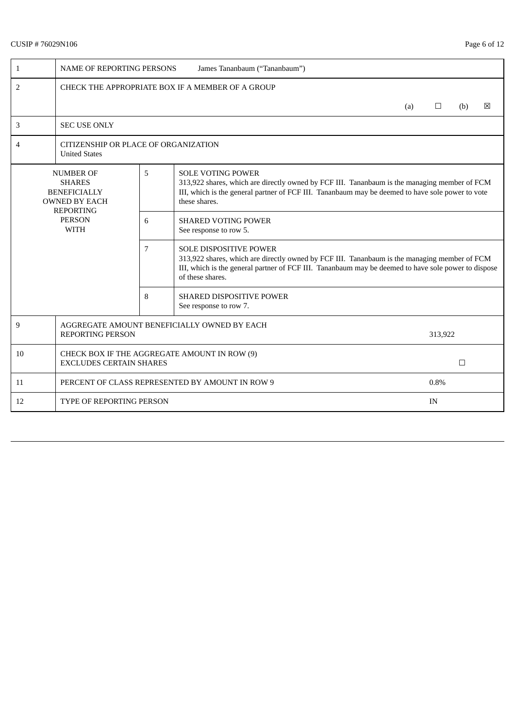# CUSIP # 76029N106 Page 6 of 12

| $\mathbf{1}$                                                                          | James Tananbaum ("Tananbaum")<br><b>NAME OF REPORTING PERSONS</b>                 |   |                                                                                                                                                                                                                                                          |  |  |        |  |  |  |  |
|---------------------------------------------------------------------------------------|-----------------------------------------------------------------------------------|---|----------------------------------------------------------------------------------------------------------------------------------------------------------------------------------------------------------------------------------------------------------|--|--|--------|--|--|--|--|
| 2                                                                                     | CHECK THE APPROPRIATE BOX IF A MEMBER OF A GROUP                                  |   |                                                                                                                                                                                                                                                          |  |  |        |  |  |  |  |
|                                                                                       | 区<br>$\Box$<br>(a)<br>(b)                                                         |   |                                                                                                                                                                                                                                                          |  |  |        |  |  |  |  |
| 3                                                                                     | <b>SEC USE ONLY</b>                                                               |   |                                                                                                                                                                                                                                                          |  |  |        |  |  |  |  |
| 4                                                                                     | CITIZENSHIP OR PLACE OF ORGANIZATION<br><b>United States</b>                      |   |                                                                                                                                                                                                                                                          |  |  |        |  |  |  |  |
| 5<br><b>NUMBER OF</b><br><b>SHARES</b><br><b>BENEFICIALLY</b><br><b>OWNED BY EACH</b> |                                                                                   |   | <b>SOLE VOTING POWER</b><br>313,922 shares, which are directly owned by FCF III. Tananbaum is the managing member of FCM<br>III, which is the general partner of FCF III. Tananbaum may be deemed to have sole power to vote<br>these shares.            |  |  |        |  |  |  |  |
| <b>REPORTING</b><br><b>PERSON</b><br><b>WITH</b>                                      |                                                                                   | 6 | <b>SHARED VOTING POWER</b><br>See response to row 5.                                                                                                                                                                                                     |  |  |        |  |  |  |  |
|                                                                                       |                                                                                   | 7 | <b>SOLE DISPOSITIVE POWER</b><br>313,922 shares, which are directly owned by FCF III. Tananbaum is the managing member of FCM<br>III, which is the general partner of FCF III. Tananbaum may be deemed to have sole power to dispose<br>of these shares. |  |  |        |  |  |  |  |
| 8                                                                                     |                                                                                   |   | <b>SHARED DISPOSITIVE POWER</b><br>See response to row 7.                                                                                                                                                                                                |  |  |        |  |  |  |  |
| 9                                                                                     | AGGREGATE AMOUNT BENEFICIALLY OWNED BY EACH<br><b>REPORTING PERSON</b><br>313,922 |   |                                                                                                                                                                                                                                                          |  |  |        |  |  |  |  |
| 10                                                                                    | CHECK BOX IF THE AGGREGATE AMOUNT IN ROW (9)<br><b>EXCLUDES CERTAIN SHARES</b>    |   |                                                                                                                                                                                                                                                          |  |  | $\Box$ |  |  |  |  |
| 11                                                                                    | PERCENT OF CLASS REPRESENTED BY AMOUNT IN ROW 9                                   |   |                                                                                                                                                                                                                                                          |  |  | 0.8%   |  |  |  |  |
| 12                                                                                    | <b>TYPE OF REPORTING PERSON</b><br>IN                                             |   |                                                                                                                                                                                                                                                          |  |  |        |  |  |  |  |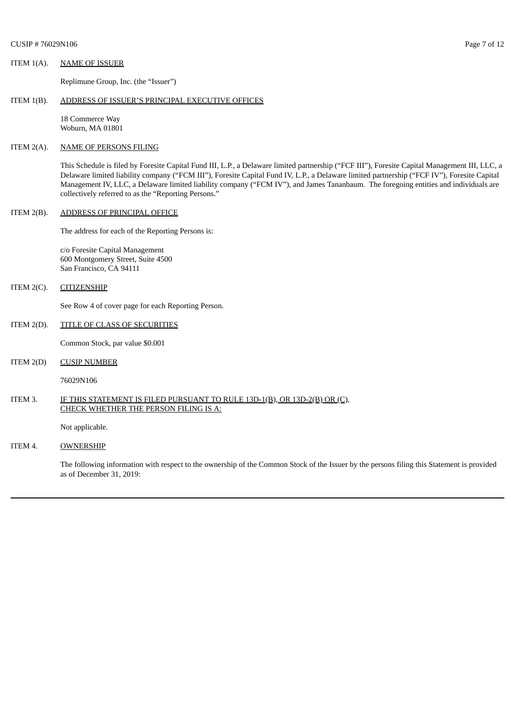Replimune Group, Inc. (the "Issuer")

#### ITEM 1(B). ADDRESS OF ISSUER'S PRINCIPAL EXECUTIVE OFFICES

18 Commerce Way Woburn, MA 01801

### ITEM 2(A). NAME OF PERSONS FILING

This Schedule is filed by Foresite Capital Fund III, L.P., a Delaware limited partnership ("FCF III"), Foresite Capital Management III, LLC, a Delaware limited liability company ("FCM III"), Foresite Capital Fund IV, L.P., a Delaware limited partnership ("FCF IV"), Foresite Capital Management IV, LLC, a Delaware limited liability company ("FCM IV"), and James Tananbaum. The foregoing entities and individuals are collectively referred to as the "Reporting Persons."

#### ITEM 2(B). ADDRESS OF PRINCIPAL OFFICE

The address for each of the Reporting Persons is:

c/o Foresite Capital Management 600 Montgomery Street, Suite 4500 San Francisco, CA 94111

#### ITEM 2(C). CITIZENSHIP

See Row 4 of cover page for each Reporting Person.

### ITEM 2(D). TITLE OF CLASS OF SECURITIES

Common Stock, par value \$0.001

#### ITEM 2(D) CUSIP NUMBER

76029N106

#### ITEM 3. IF THIS STATEMENT IS FILED PURSUANT TO RULE 13D-1(B), OR 13D-2(B) OR (C), CHECK WHETHER THE PERSON FILING IS A:

Not applicable.

### ITEM 4. OWNERSHIP

The following information with respect to the ownership of the Common Stock of the Issuer by the persons filing this Statement is provided as of December 31, 2019: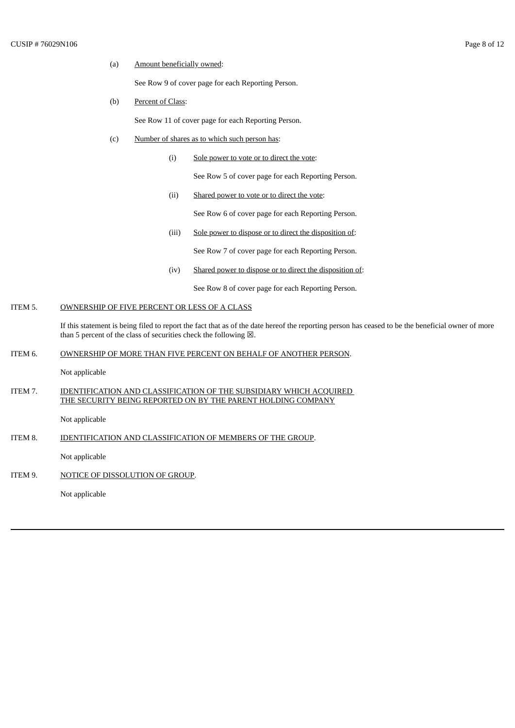#### (a) Amount beneficially owned:

See Row 9 of cover page for each Reporting Person.

### (b) Percent of Class:

See Row 11 of cover page for each Reporting Person.

# (c) Number of shares as to which such person has:

(i) Sole power to vote or to direct the vote:

See Row 5 of cover page for each Reporting Person.

(ii) Shared power to vote or to direct the vote:

See Row 6 of cover page for each Reporting Person.

(iii) Sole power to dispose or to direct the disposition of:

See Row 7 of cover page for each Reporting Person.

(iv) Shared power to dispose or to direct the disposition of:

See Row 8 of cover page for each Reporting Person.

# ITEM 5. OWNERSHIP OF FIVE PERCENT OR LESS OF A CLASS

If this statement is being filed to report the fact that as of the date hereof the reporting person has ceased to be the beneficial owner of more than 5 percent of the class of securities check the following  $\boxtimes$ .

#### ITEM 6. OWNERSHIP OF MORE THAN FIVE PERCENT ON BEHALF OF ANOTHER PERSON.

Not applicable

## ITEM 7. IDENTIFICATION AND CLASSIFICATION OF THE SUBSIDIARY WHICH ACQUIRED THE SECURITY BEING REPORTED ON BY THE PARENT HOLDING COMPANY

Not applicable

ITEM 8. IDENTIFICATION AND CLASSIFICATION OF MEMBERS OF THE GROUP.

Not applicable

ITEM 9. NOTICE OF DISSOLUTION OF GROUP.

Not applicable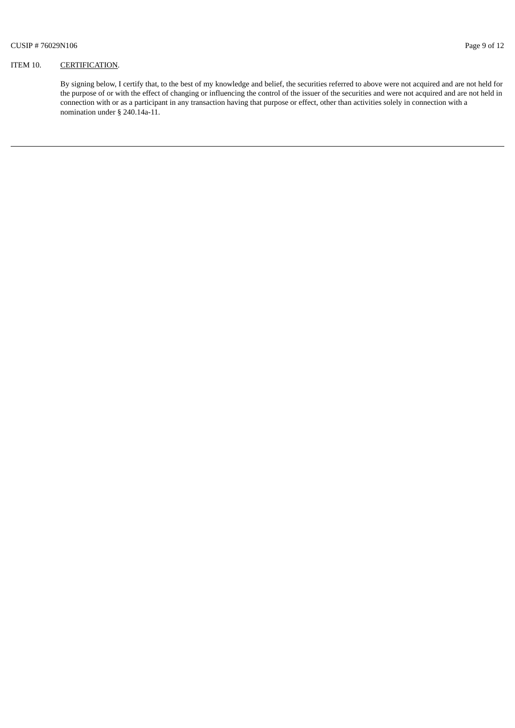## ITEM 10. CERTIFICATION.

By signing below, I certify that, to the best of my knowledge and belief, the securities referred to above were not acquired and are not held for the purpose of or with the effect of changing or influencing the control of the issuer of the securities and were not acquired and are not held in connection with or as a participant in any transaction having that purpose or effect, other than activities solely in connection with a nomination under § 240.14a-11.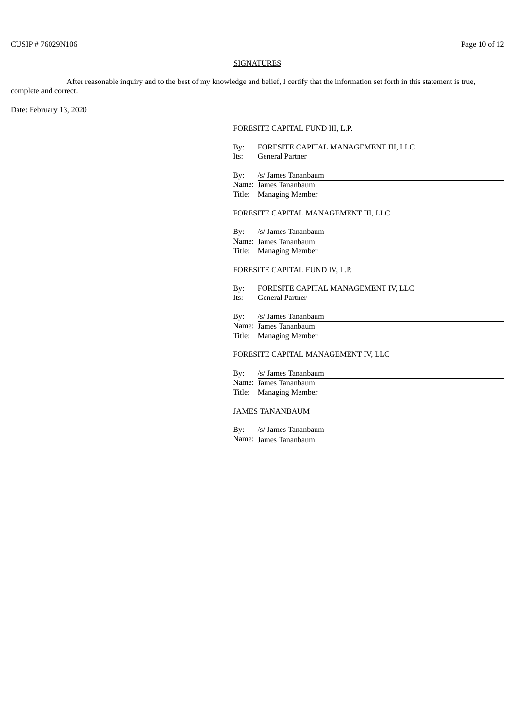#### **SIGNATURES**

After reasonable inquiry and to the best of my knowledge and belief, I certify that the information set forth in this statement is true, complete and correct.

Date: February 13, 2020

### FORESITE CAPITAL FUND III, L.P.

By: FORESITE CAPITAL MANAGEMENT III, LLC<br>Its: General Partner General Partner

By: /s/ James Tananbaum

Name: James Tananbaum Title: Managing Member

### FORESITE CAPITAL MANAGEMENT III, LLC

By: /s/ James Tananbaum Name: James Tananbaum Title: Managing Member

### FORESITE CAPITAL FUND IV, L.P.

By: FORESITE CAPITAL MANAGEMENT IV, LLC

Its: General Partner

By: /s/ James Tananbaum

Name: James Tananbaum

Title: Managing Member

# FORESITE CAPITAL MANAGEMENT IV, LLC

By: /s/ James Tananbaum Name: James Tananbaum Title: Managing Member

#### JAMES TANANBAUM

By: /s/ James Tananbaum Name: James Tananbaum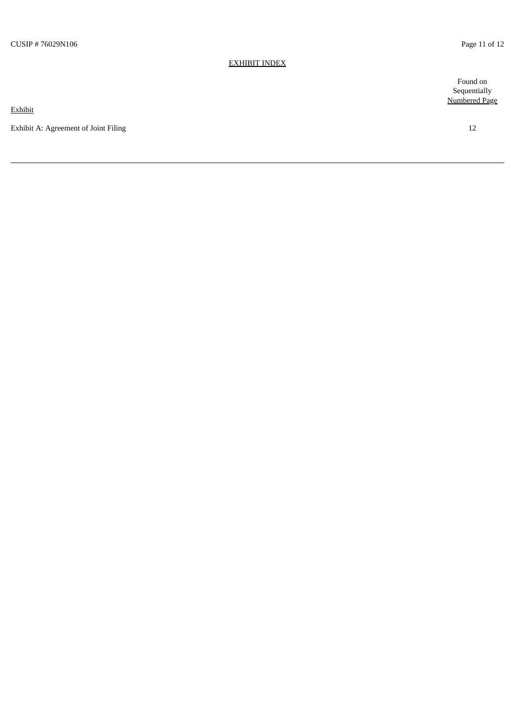#### <u>EXHIBIT INDEX</u>

**Exhibit** 

Exhibit A: Agreement of Joint Filing

Found on Sequentially Numbered Page